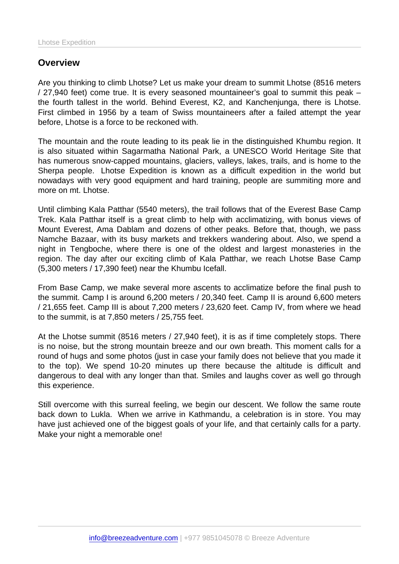## **Overview**

Are you thinking to climb Lhotse? Let us make your dream to summit Lhotse (8516 meters / 27,940 feet) come true. It is every seasoned mountaineer's goal to summit this peak – the fourth tallest in the world. Behind Everest, K2, and Kanchenjunga, there is Lhotse. First climbed in 1956 by a team of Swiss mountaineers after a failed attempt the year before, Lhotse is a force to be reckoned with.

The mountain and the route leading to its peak lie in the distinguished Khumbu region. It is also situated within Sagarmatha National Park, a UNESCO World Heritage Site that has numerous snow-capped mountains, glaciers, valleys, lakes, trails, and is home to the Sherpa people. Lhotse Expedition is known as a difficult expedition in the world but nowadays with very good equipment and hard training, people are summiting more and more on mt. Lhotse.

Until climbing Kala Patthar (5540 meters), the trail follows that of the Everest Base Camp Trek. Kala Patthar itself is a great climb to help with acclimatizing, with bonus views of Mount Everest, Ama Dablam and dozens of other peaks. Before that, though, we pass Namche Bazaar, with its busy markets and trekkers wandering about. Also, we spend a night in Tengboche, where there is one of the oldest and largest monasteries in the region. The day after our exciting climb of Kala Patthar, we reach Lhotse Base Camp (5,300 meters / 17,390 feet) near the Khumbu Icefall.

From Base Camp, we make several more ascents to acclimatize before the final push to the summit. Camp I is around 6,200 meters / 20,340 feet. Camp II is around 6,600 meters / 21,655 feet. Camp III is about 7,200 meters / 23,620 feet. Camp IV, from where we head to the summit, is at 7,850 meters / 25,755 feet.

At the Lhotse summit (8516 meters / 27,940 feet), it is as if time completely stops. There is no noise, but the strong mountain breeze and our own breath. This moment calls for a round of hugs and some photos (just in case your family does not believe that you made it to the top). We spend 10-20 minutes up there because the altitude is difficult and dangerous to deal with any longer than that. Smiles and laughs cover as well go through this experience.

Still overcome with this surreal feeling, we begin our descent. We follow the same route back down to Lukla. When we arrive in Kathmandu, a celebration is in store. You may have just achieved one of the biggest goals of your life, and that certainly calls for a party. Make your night a memorable one!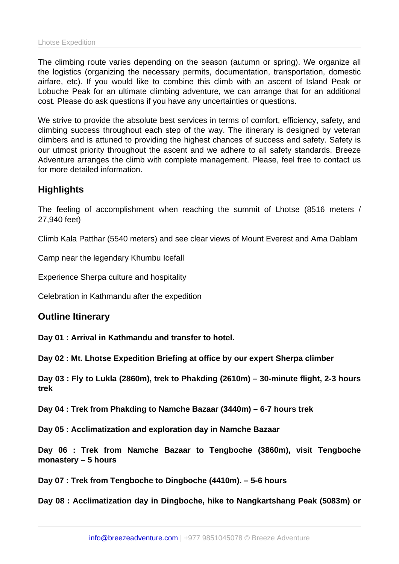The climbing route varies depending on the season (autumn or spring). We organize all the logistics (organizing the necessary permits, documentation, transportation, domestic airfare, etc). If you would like to combine this climb with an ascent of Island Peak or Lobuche Peak for an ultimate climbing adventure, we can arrange that for an additional cost. Please do ask questions if you have any uncertainties or questions.

We strive to provide the absolute best services in terms of comfort, efficiency, safety, and climbing success throughout each step of the way. The itinerary is designed by veteran climbers and is attuned to providing the highest chances of success and safety. Safety is our utmost priority throughout the ascent and we adhere to all safety standards. Breeze Adventure arranges the climb with complete management. Please, feel free to contact us for more detailed information.

## **Highlights**

The feeling of accomplishment when reaching the summit of Lhotse (8516 meters / 27,940 feet)

Climb Kala Patthar (5540 meters) and see clear views of Mount Everest and Ama Dablam

Camp near the legendary Khumbu Icefall

Experience Sherpa culture and hospitality

Celebration in Kathmandu after the expedition

Outline Itinerary

Day 01 : Arrival in Kathmandu and transfer to hotel.

Day 02 : Mt. Lhotse Expedition Briefing at office by our expert Sherpa climber

Day 03 : Fly to Lukla (2860m), trek to Phakding (2610m) – 30-minute flight, 2-3 hours trek

Day 04 : Trek from Phakding to Namche Bazaar (3440m) – 6-7 hours trek

Day 05 : Acclimatization and exploration day in Namche Bazaar

Day 06 : Trek from Namche Bazaar to Tengboche (3860m), visit Tengboche monastery – 5 hours

Day 07 : Trek from Tengboche to Dingboche (4410m). – 5-6 hours

Day 08 : Acclimatization day in Dingboche, hike to Nangkartshang Peak (5083m) or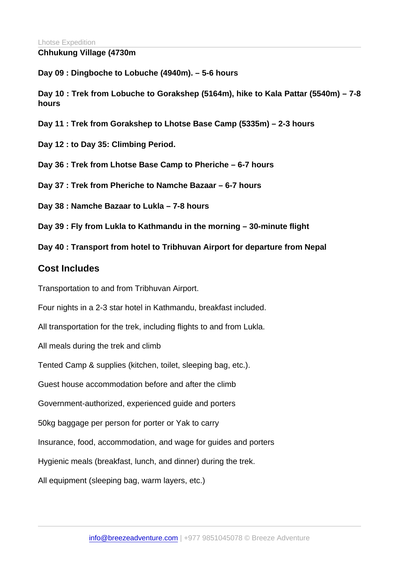Chhukung Village (4730m

Day 09 : Dingboche to Lobuche (4940m). – 5-6 hours

Day 10 : Trek from Lobuche to Gorakshep (5164m), hike to Kala Pattar (5540m) – 7-8 hours

Day 11 : Trek from Gorakshep to Lhotse Base Camp (5335m) – 2-3 hours

Day 12 : to Day 35: Climbing Period.

Day 36 : Trek from Lhotse Base Camp to Pheriche – 6-7 hours

Day 37 : Trek from Pheriche to Namche Bazaar – 6-7 hours

Day 38 : Namche Bazaar to Lukla – 7-8 hours

Day 39 : Fly from Lukla to Kathmandu in the morning – 30-minute flight

Day 40 : Transport from hotel to Tribhuvan Airport for departure from Nepal

Cost Includes

Transportation to and from Tribhuvan Airport.

Four nights in a 2-3 star hotel in Kathmandu, breakfast included.

All transportation for the trek, including flights to and from Lukla.

All meals during the trek and climb

Tented Camp & supplies (kitchen, toilet, sleeping bag, etc.).

Guest house accommodation before and after the climb

Government-authorized, experienced guide and porters

50kg baggage per person for porter or Yak to carry

Insurance, food, accommodation, and wage for guides and porters

Hygienic meals (breakfast, lunch, and dinner) during the trek.

All equipment (sleeping bag, warm layers, etc.)